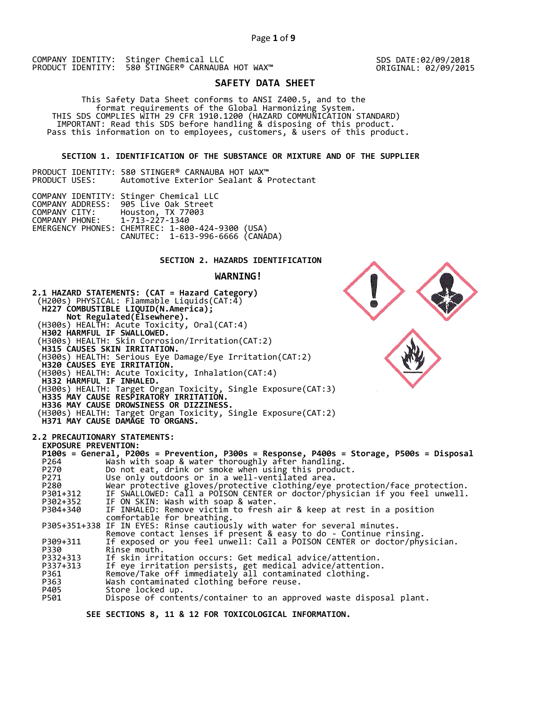SDS DATE:02/09/2018 ORIGINAL: 02/09/2015

# **SAFETY DATA SHEET**

 This Safety Data Sheet conforms to ANSI Z400.5, and to the format requirements of the Global Harmonizing System. THIS SDS COMPLIES WITH 29 CFR 1910.1200 (HAZARD COMMUNICATION STANDARD) IMPORTANT: Read this SDS before handling & disposing of this product. Pass this information on to employees, customers, & users of this product.

## **SECTION 1. IDENTIFICATION OF THE SUBSTANCE OR MIXTURE AND OF THE SUPPLIER**

PRODUCT IDENTITY: 580 STINGER® CARNAUBA HOT WAX™<br>PRODUCT USES: Automotive Exterior Sealant & P Automotive Exterior Sealant & Protectant

|                               | COMPANY IDENTITY: Stinger Chemical LLC           |  |
|-------------------------------|--------------------------------------------------|--|
|                               | COMPANY ADDRESS: 905 Live Oak Street             |  |
| COMPANY CITY:                 | Houston, TX 77003                                |  |
| COMPANY PHONE: 1-713-227-1340 |                                                  |  |
|                               | EMERGENCY PHONES: CHEMTREC: 1-800-424-9300 (USA) |  |
|                               | CANUTEC: 1-613-996-6666 (CANÁDA)                 |  |

# **SECTION 2. HAZARDS IDENTIFICATION**

## **WARNING!**



 **SEE SECTIONS 8, 11 & 12 FOR TOXICOLOGICAL INFORMATION.**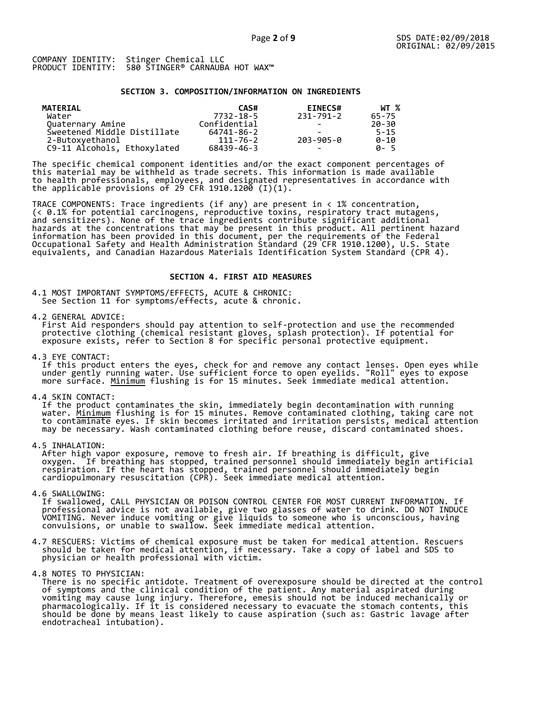### **SECTION 3. COMPOSITION/INFORMATION ON INGREDIENTS**

| MATERIAL                    | CAS#         | <b>EINECS#</b>           | WT %     |
|-----------------------------|--------------|--------------------------|----------|
| Water                       | 7732-18-5    | 231-791-2                | 65-75    |
| Quaternary Amine            | Confidential |                          | 20-30    |
| Sweetened Middle Distillate | 64741-86-2   |                          | $5 - 15$ |
| 2-Butoxyethanol             | 111-76-2     | 203-905-0                | $0 - 10$ |
| C9-11 Alcohols, Ethoxylated | 68439-46-3   | $\overline{\phantom{0}}$ | A-5      |

The specific chemical component identities and/or the exact component percentages of this material may be withheld as trade secrets. This information is made available to health professionals, employees, and designated representatives in accordance with the applicable provisions of 29 CFR 1910.1200̄ (I)(1).  $\overline{\phantom{a}}$ 

TRACE COMPONENTS: Trace ingredients (if any) are present in < 1% concentration, (< 0.1% for potential carcinogens, reproductive toxins, respiratory tract mutagens, and sensitizers). None of the trace ingredients contribute significant additional hazards at the concentrations that may be present in this product. All pertinent hazard information has been provided in this document, per the requirements of the Federal Occupational Safety and Health Administration Standard (29 CFR 1910.1200), U.S. State equivalents, and Canadian Hazardous Materials Identification System Standard (CPR 4).

### **SECTION 4. FIRST AID MEASURES**

4.1 MOST IMPORTANT SYMPTOMS/EFFECTS, ACUTE & CHRONIC: See Section 11 for symptoms/effects, acute & chronic.

4.2 GENERAL ADVICE:

 First Aid responders should pay attention to self-protection and use the recommended protective clothing (chemical resistant gloves, splash protection). If potential for exposure exists, refer to Section 8 for specific personal protective equipment.

4.3 EYE CONTACT:

 If this product enters the eyes, check for and remove any contact lenses. Open eyes while under gently running water. Use sufficient force to open eyelids. "Roll" eyes to expose more surface. <u>Minimum</u> flushing is for 15 minutes. Seek immediate medical attention.

4.4 SKIN CONTACT:

 If the product contaminates the skin, immediately begin decontamination with running water. <u>Minimum</u> flushing is for 15 minutes. Remove contaminated clothing, taking care not to contaminate eyes. If skin becomes irritated and irritation persists, medical attention may be necessary. Wash contaminated clothing before reuse, discard contaminated shoes.

4.5 INHALATION:

 After high vapor exposure, remove to fresh air. If breathing is difficult, give oxygen. If breathing has stopped, trained personnel should immediately begin artificial respiration. If the heart has stopped, trained personnel should immediately begin cardiopulmonary resuscitation (CPR). Seek immediate medical attention.

4.6 SWALLOWING:

 If swallowed, CALL PHYSICIAN OR POISON CONTROL CENTER FOR MOST CURRENT INFORMATION. If professional advice is not available, give two glasses of water to drink. DO NOT INDUCE VOMITING. Never induce vomiting or give liquids to someone who is unconscious, having convulsions, or unable to swallow. Seek immediate medical attention.

- 4.7 RESCUERS: Victims of chemical exposure must be taken for medical attention. Rescuers should be taken for medical attention, if necessary. Take a copy of label and SDS to physician or health professional with victim.
- 4.8 NOTES TO PHYSICIAN:

 There is no specific antidote. Treatment of overexposure should be directed at the control of symptoms and the clinical condition of the patient. Any material aspirated during vomiting may cause lung injury. Therefore, emesis should not be induced mechanically or pharmacologically. If it is considered necessary to evacuate the stomach contents, this should be done by means least likely to cause aspiration (such as: Gastric lavage after endotracheal intubation).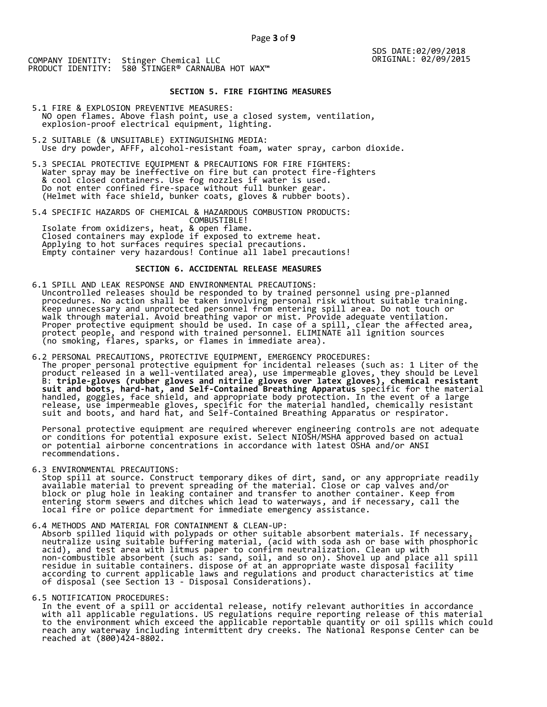# **SECTION 5. FIRE FIGHTING MEASURES**

- 5.1 FIRE & EXPLOSION PREVENTIVE MEASURES: NO open flames. Above flash point, use a closed system, ventilation, explosion-proof electrical equipment, lighting.
- 5.2 SUITABLE (& UNSUITABLE) EXTINGUISHING MEDIA: Use dry powder, AFFF, alcohol-resistant foam, water spray, carbon dioxide.
- 5.3 SPECIAL PROTECTIVE EQUIPMENT & PRECAUTIONS FOR FIRE FIGHTERS: Water spray may be ineffective on fire but can protect fire-fighters & cool closed containers. Use fog nozzles if water is used. Do not enter confined fire-space without full bunker gear. (Helmet with face shield, bunker coats, gloves & rubber boots).
- 5.4 SPECIFIC HAZARDS OF CHEMICAL & HAZARDOUS COMBUSTION PRODUCTS: COMBUSTIBLE! Isolate from oxidizers, heat, & open flame. Closed containers may explode if exposed to extreme heat. Applying to hot surfaces requires special precautions. Empty container very hazardous! Continue all label precautions!

# **SECTION 6. ACCIDENTAL RELEASE MEASURES**

- 6.1 SPILL AND LEAK RESPONSE AND ENVIRONMENTAL PRECAUTIONS: Uncontrolled releases should be responded to by trained personnel using pre-planned procedures. No action shall be taken involving personal risk without suitable training. Keep unnecessary and unprotected personnel from entering spill area. Do not touch or walk through material. Avoid breathing vapor or mist. Provide adequate ventilation. Proper protective equipment should be used. In case of a spill, clear the affected area, protect people, and respond with trained personnel. ELIMINATE all ignition sources (no smoking, flares, sparks, or flames in immediate area).
- 6.2 PERSONAL PRECAUTIONS, PROTECTIVE EQUIPMENT, EMERGENCY PROCEDURES: The proper personal protective equipment for incidental releases (such as: 1 Liter of the product released in a well-ventilated area), use impermeable gloves, they should be Level B: **triple-gloves (rubber gloves and nitrile gloves over latex gloves), chemical resistant suit and boots, hard-hat, and Self-Contained Breathing Apparatus** specific for the material handled, goggles, face shield, and appropriate body protection. In the event of a large release, use impermeable gloves, specific for the material handled, chemically resistant suit and boots, and hard hat, and Self-Contained Breathing Apparatus or respirator.

 Personal protective equipment are required wherever engineering controls are not adequate or conditions for potential exposure exist. Select NIOSH/MSHA approved based on actual or potential airborne concentrations in accordance with latest OSHA and/or ANSI recommendations.

6.3 ENVIRONMENTAL PRECAUTIONS:

 Stop spill at source. Construct temporary dikes of dirt, sand, or any appropriate readily available material to prevent spreading of the material. Close or cap valves and/or block or plug hole in leaking container and transfer to another container. Keep from entering storm sewers and ditches which lead to waterways, and if necessary, call the local fire or police department for immediate emergency assistance.

- 6.4 METHODS AND MATERIAL FOR CONTAINMENT & CLEAN-UP:
- Absorb spilled liquid with polypads or other suitable absorbent materials. If necessary, neutralize using suitable buffering material, (acid with soda ash or base with phosphoric acid), and test area with litmus paper to confirm neutralization. Clean up with non-combustible absorbent (such as: sand, soil, and so on). Shovel up and place all spill residue in suitable containers. dispose of at an appropriate waste disposal facility according to current applicable laws and regulations and product characteristics at time of disposal (see Section 13 - Disposal Considerations).

### 6.5 NOTIFICATION PROCEDURES:

 In the event of a spill or accidental release, notify relevant authorities in accordance with all applicable regulations. US regulations require reporting release of this material to the environment which exceed the applicable reportable quantity or oil spills which could reach any waterway including intermittent dry creeks. The National Response Center can be reached at (800)424-8802.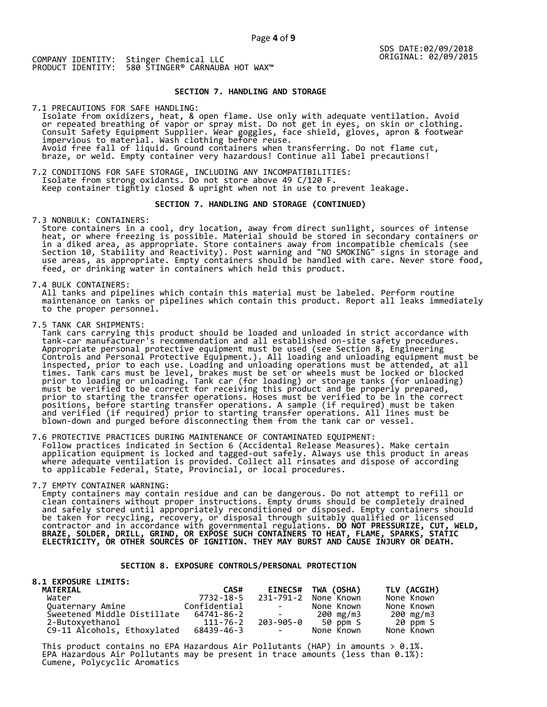## **SECTION 7. HANDLING AND STORAGE**

7.1 PRECAUTIONS FOR SAFE HANDLING: Isolate from oxidizers, heat, & open flame. Use only with adequate ventilation. Avoid or repeated breathing of vapor or spray mist. Do not get in eyes, on skin or clothing. Consult Safety Equipment Supplier. Wear goggles, face shield, gloves, apron & footwear impervious to material. Wash clothing before reuse. Avoid free fall of liquid. Ground containers when transferring. Do not flame cut, braze, or weld. Empty container very hazardous! Continue all label precautions!

7.2 CONDITIONS FOR SAFE STORAGE, INCLUDING ANY INCOMPATIBILITIES: Isolate from strong oxidants. Do not store above 49 C/120 F. Keep container tightly closed & upright when not in use to prevent leakage.

## **SECTION 7. HANDLING AND STORAGE (CONTINUED)**

7.3 NONBULK: CONTAINERS:

 Store containers in a cool, dry location, away from direct sunlight, sources of intense heat, or where freezing is possible. Material should be stored in secondary containers or in a diked area, as appropriate. Store containers away from incompatible chemicals (see Section 10, Stability and Reactivity). Post warning and "NO SMOKING" signs in storage and use areas, as appropriate. Empty containers should be handled with care. Never store food, feed, or drinking water in containers which held this product.

7.4 BULK CONTAINERS:

 All tanks and pipelines which contain this material must be labeled. Perform routine maintenance on tanks or pipelines which contain this product. Report all leaks immediately to the proper personnel.

7.5 TANK CAR SHIPMENTS:

 Tank cars carrying this product should be loaded and unloaded in strict accordance with tank-car manufacturer's recommendation and all established on-site safety procedures. Appropriate personal protective equipment must be used (see Section 8, Engineering Controls and Personal Protective Equipment.). All loading and unloading equipment must be inspected, prior to each use. Loading and unloading operations must be attended, at all times. Tank cars must be level, brakes must be set or wheels must be locked or blocked prior to loading or unloading. Tank car (for loading) or storage tanks (for unloading) must be verified to be correct for receiving this product and be properly prepared, prior to starting the transfer operations. Hoses must be verified to be in the correct positions, before starting transfer operations. A sample (if required) must be taken and verified (if required) prior to starting transfer operations. All lines must be blown-down and purged before disconnecting them from the tank car or vessel.

7.6 PROTECTIVE PRACTICES DURING MAINTENANCE OF CONTAMINATED EQUIPMENT: Follow practices indicated in Section 6 (Accidental Release Measures). Make certain application equipment is locked and tagged-out safely. Always use this product in areas where adequate ventilation is provided. Collect all rinsates and dispose of according to applicable Federal, State, Provincial, or local procedures.

7.7 EMPTY CONTAINER WARNING:

 Empty containers may contain residue and can be dangerous. Do not attempt to refill or clean containers without proper instructions. Empty drums should be completely drained and safely stored until appropriately reconditioned or disposed. Empty containers should be taken for recycling, recovery, or disposal through suitably qualified or licensed contractor and in accordance with governmental regulations. **DO NOT PRESSURIZE, CUT, WELD, BRAZE, SOLDER, DRILL, GRIND, OR EXPOSE SUCH CONTAINERS TO HEAT, FLAME, SPARKS, STATIC ELECTRICITY, OR OTHER SOURCES OF IGNITION. THEY MAY BURST AND CAUSE INJURY OR DEATH.**

## **SECTION 8. EXPOSURE CONTROLS/PERSONAL PROTECTION**

| <b>8.1 EXPOSURE LIMITS:</b> |              |                          |                    |             |
|-----------------------------|--------------|--------------------------|--------------------|-------------|
| <b>MATERIAL</b>             | CAS#         |                          | EINECS# TWA (OSHA) | TLV (ACGIH) |
| Water                       | 7732-18-5    | 231-791-2                | None Known         | None Known  |
| Quaternary Amine            | Confidential | and the state of the     | None Known         | None Known  |
| Sweetened Middle Distillate | 64741-86-2   | and the state of the     | 200 mg/m3          | 200 mg/m3   |
| 2-Butoxyethanol             | 111-76-2     |                          | 203-905-0 50 ppm S | 20 ppm S    |
| C9-11 Alcohols, Ethoxylated | 68439-46-3   | <b>Contract Contract</b> | None Known         | None Known  |

This product contains no EPA Hazardous Air Pollutants (HAP) in amounts  $> 0.1\%$ . EPA Hazardous Air Pollutants may be present in trace amounts (less than 0.1%): Cumene, Polycyclic Aromatics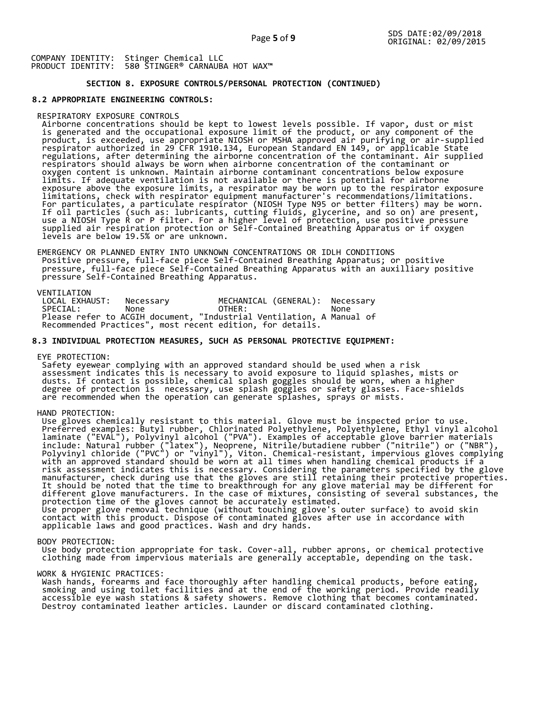# **SECTION 8. EXPOSURE CONTROLS/PERSONAL PROTECTION (CONTINUED)**

### **8.2 APPROPRIATE ENGINEERING CONTROLS:**

#### RESPIRATORY EXPOSURE CONTROLS

 Airborne concentrations should be kept to lowest levels possible. If vapor, dust or mist is generated and the occupational exposure limit of the product, or any component of the product, is exceeded, use appropriate NIOSH or MSHA approved air purifying or air-supplied respirator authorized in 29 CFR 1910.134, European Standard EN 149, or applicable State regulations, after determining the airborne concentration of the contaminant. Air supplied respirators should always be worn when airborne concentration of the contaminant or oxygen content is unknown. Maintain airborne contaminant concentrations below exposure limits. If adequate ventilation is not available or there is potential for airborne exposure above the exposure limits, a respirator may be worn up to the respirator exposure limitations, check with respirator equipment manufacturer's recommendations/limitations. For particulates, a particulate respirator (NIOSH Type N95 or better filters) may be worn. If oil particles (such as: lubricants, cutting fluids, glycerine, and so on) are present, use a NIOSH Type R or P filter. For a higher level of protection, use positive pressure supplied air respiration protection or Self-Contained Breathing Apparatus or if oxygen levels are below 19.5% or are unknown.

 EMERGENCY OR PLANNED ENTRY INTO UNKNOWN CONCENTRATIONS OR IDLH CONDITIONS Positive pressure, full-face piece Self-Contained Breathing Apparatus; or positive pressure, full-face piece Self-Contained Breathing Apparatus with an auxilliary positive pressure Self-Contained Breathing Apparatus.

VENTILATION<br>LOCAL EXHAUST: LOCAL EXHAUST: Necessary MECHANICAL (GENERAL): Necessary SPECIAL: None OTHER: None Please refer to ACGIH document, "Industrial Ventilation, A Manual of Recommended Practices", most recent edition, for details.

### **8.3 INDIVIDUAL PROTECTION MEASURES, SUCH AS PERSONAL PROTECTIVE EQUIPMENT:**

EYE PROTECTION:

 Safety eyewear complying with an approved standard should be used when a risk assessment indicates this is necessary to avoid exposure to liquid splashes, mists or dusts. If contact is possible, chemical splash goggles should be worn, when a higher degree of protection is necessary, use splash goggles or safety glasses. Face-shields are recommended when the operation can generate splashes, sprays or mists.

HAND PROTECTION:

 Use gloves chemically resistant to this material. Glove must be inspected prior to use. Preferred examples: Butyl rubber, Chlorinated Polyethylene, Polyethylene, Ethyl vinyl alcohol laminate ("EVAL"), Polyvinyl alcohol ("PVA"). Examples of acceptable glove barrier materials include: Natural rubber ("latex"), Neoprene, Nitrile/butadiene rubber ("nitrile") or ("NBR"), Polyvinyl chloride ("PVC") or "vinyl"), Viton. Chemical-resistant, impervious gloves complying with an approved standard should be worn at all times when handling chemical products if a risk assessment indicates this is necessary. Considering the parameters specified by the glove manufacturer, check during use that the gloves are still retaining their protective properties. It should be noted that the time to breakthrough for any glove material may be different for different glove manufacturers. In the case of mixtures, consisting of several substances, the protection time of the gloves cannot be accurately estimated. Use proper glove removal technique (without touching glove's outer surface) to avoid skin contact with this product. Dispose of contaminated gloves after use in accordance with applicable laws and good practices. Wash and dry hands.

#### BODY PROTECTION:

 Use body protection appropriate for task. Cover-all, rubber aprons, or chemical protective clothing made from impervious materials are generally acceptable, depending on the task.

### WORK & HYGIENIC PRACTICES:

 Wash hands, forearms and face thoroughly after handling chemical products, before eating, smoking and using toilet facilities and at the end of the working period. Provide readily accessible eye wash stations & safety showers. Remove clothing that becomes contaminated. Destroy contaminated leather articles. Launder or discard contaminated clothing.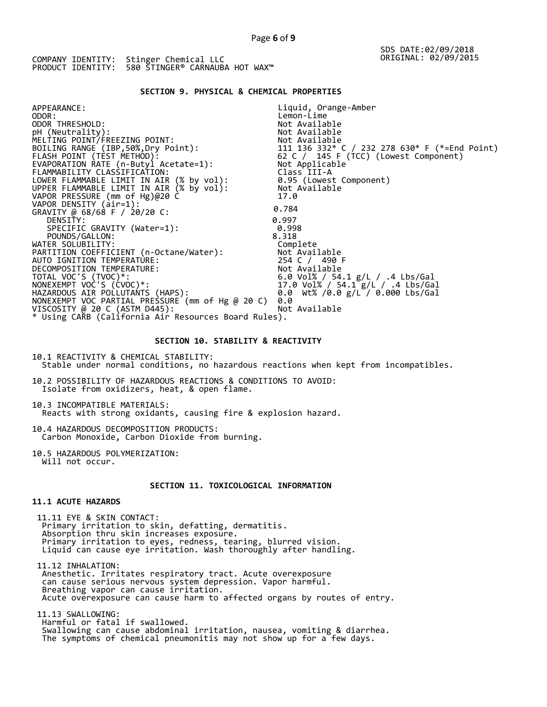## **SECTION 9. PHYSICAL & CHEMICAL PROPERTIES**

| APPEARANCE:                                                                          | Liquid, Orange-Amber                                                                                         |
|--------------------------------------------------------------------------------------|--------------------------------------------------------------------------------------------------------------|
| ODOR:                                                                                | Lemon-Lime                                                                                                   |
| ODOR THRESHOLD:                                                                      | Not Available                                                                                                |
| pH (Neutrality):                                                                     | Not Available                                                                                                |
| MELTING POINT/FREEZING POINT:                                                        |                                                                                                              |
| BOILING RANGE (IBP,50%,Dry Point):                                                   |                                                                                                              |
| FLASH POINT (TEST METHOD):                                                           | Not Available<br>111  136  332* C / 232  278  630* F (*=End Point)<br>62 C / 145  F (TCC) (Lowest Component) |
| EVAPORATION RATE (n-Butyl Acetate=1):                                                | Not Applicable                                                                                               |
| FLAMMABILITY CLASSIFICATION:                                                         | Class III-A                                                                                                  |
| LOWER FLAMMABLE LIMIT IN AIR (% by vol):<br>UPPER FLAMMABLE LIMIT IN AIR (% by vol): | 0.95 (Lowest Component)                                                                                      |
|                                                                                      | Not Available                                                                                                |
| VAPOR PRESSURE (mm of Hg)@20 C                                                       | 17.0                                                                                                         |
| VAPOR DENSITY (air=1):                                                               | 0.784                                                                                                        |
| GRAVITY @ 68/68 F / 20/20 C:                                                         |                                                                                                              |
| DENSITY:                                                                             | 0.997                                                                                                        |
| SPECIFIC GRAVITY (Water=1):                                                          | 0.998                                                                                                        |
| POUNDS/GALLON:                                                                       | 8.318                                                                                                        |
| WATER SOLUBILITY:                                                                    | Complete                                                                                                     |
| PARTITION COEFFICIENT (n-Octane/Water):                                              | Not Available                                                                                                |
| AUTO IGNITION TEMPERATURE:                                                           | 254 C / 490 F                                                                                                |
| DECOMPOSITION TEMPERATURE:                                                           | Not Available                                                                                                |
| TOTAL VOC'S (TVOC)*:                                                                 | 6.0 Vol% / 54.1 g/L / .4 Lbs/Gal                                                                             |
| NONEXEMPT VOC'S (ĆVOC)*:                                                             | 17.0 Vol% / 54.1 g/L / .4 Lbs/Gal                                                                            |
| HAZARDOUS AIR POLLUTANTS (HAPS):                                                     | 0.0 Wt% /0.0 g/L / 0.000 Lbs/Gal                                                                             |
| NONEXEMPT VOC PARTIAL PRESSURE (mm of Hg @ 20 C)                                     | 0.0                                                                                                          |
| VISCOSITY @ 20 C (ASTM D445):                                                        | Not Available                                                                                                |
| * Using CARB (California Air Resources Board Rules).                                 |                                                                                                              |
|                                                                                      |                                                                                                              |

## **SECTION 10. STABILITY & REACTIVITY**

10.1 REACTIVITY & CHEMICAL STABILITY: Stable under normal conditions, no hazardous reactions when kept from incompatibles.

10.2 POSSIBILITY OF HAZARDOUS REACTIONS & CONDITIONS TO AVOID: Isolate from oxidizers, heat, & open flame.

10.3 INCOMPATIBLE MATERIALS: Reacts with strong oxidants, causing fire & explosion hazard.

10.4 HAZARDOUS DECOMPOSITION PRODUCTS: Carbon Monoxide, Carbon Dioxide from burning.

10.5 HAZARDOUS POLYMERIZATION: Will not occur.

# **SECTION 11. TOXICOLOGICAL INFORMATION**

## **11.1 ACUTE HAZARDS**

 11.11 EYE & SKIN CONTACT: Primary irritation to skin, defatting, dermatitis. Absorption thru skin increases exposure. Primary irritation to eyes, redness, tearing, blurred vision. Liquid can cause eye irritation. Wash thoroughly after handling.

 11.12 INHALATION: Anesthetic. Irritates respiratory tract. Acute overexposure can cause serious nervous system depression. Vapor harmful. Breathing vapor can cause irritation. Acute overexposure can cause harm to affected organs by routes of entry.

 11.13 SWALLOWING: Harmful or fatal if swallowed. Swallowing can cause abdominal irritation, nausea, vomiting & diarrhea. The symptoms of chemical pneumonitis may not show up for a few days.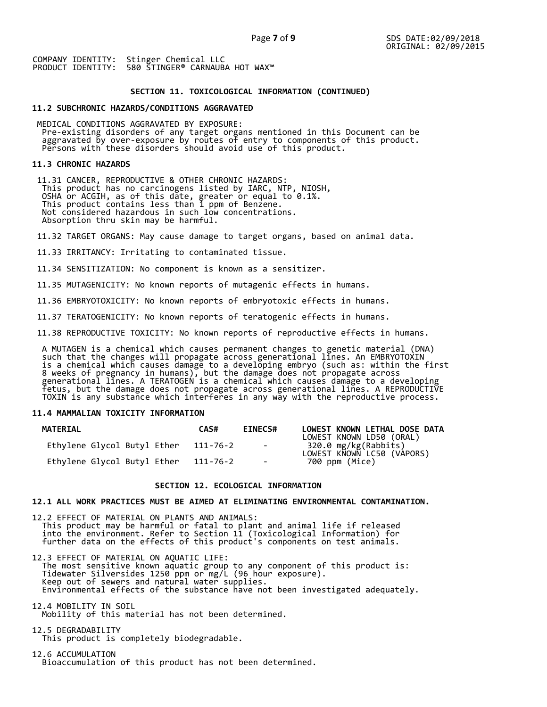## **SECTION 11. TOXICOLOGICAL INFORMATION (CONTINUED)**

### **11.2 SUBCHRONIC HAZARDS/CONDITIONS AGGRAVATED**

 MEDICAL CONDITIONS AGGRAVATED BY EXPOSURE: Pre-existing disorders of any target organs mentioned in this Document can be aggravated by over-exposure by routes of entry to components of this product. Persons with these disorders should avoid use of this product.

#### **11.3 CHRONIC HAZARDS**

 11.31 CANCER, REPRODUCTIVE & OTHER CHRONIC HAZARDS: This product has no carcinogens listed by IARC, NTP, NIOSH, OSHA or ACGIH, as of this date, greater or equal to 0.1%. This product contains less than 1 ppm of Benzene. Not considered hazardous in such low concentrations. Absorption thru skin may be harmful.

11.32 TARGET ORGANS: May cause damage to target organs, based on animal data.

11.33 IRRITANCY: Irritating to contaminated tissue.

11.34 SENSITIZATION: No component is known as a sensitizer.

11.35 MUTAGENICITY: No known reports of mutagenic effects in humans.

11.36 EMBRYOTOXICITY: No known reports of embryotoxic effects in humans.

11.37 TERATOGENICITY: No known reports of teratogenic effects in humans.

11.38 REPRODUCTIVE TOXICITY: No known reports of reproductive effects in humans.

 A MUTAGEN is a chemical which causes permanent changes to genetic material (DNA) such that the changes will propagate across generational lines. An EMBRYOTOXIN is a chemical which causes damage to a developing embryo (such as: within the first 8 weeks of pregnancy in humans), but the damage does not propagate across generational lines. A TERATOGEN is a chemical which causes damage to a developing fetus, but the damage does not propagate across generational lines. A REPRODUCTIVE TOXIN is any substance which interferes in any way with the reproductive process.

## **11.4 MAMMALIAN TOXICITY INFORMATION**

| <b>MATERIAL</b>             | CAS#     | <b>EINECS#</b> | LOWEST KNOWN LETHAL DOSE DATA<br>LOWEST KNOWN LD50 (ORAL) |
|-----------------------------|----------|----------------|-----------------------------------------------------------|
| Ethylene Glycol Butyl Ether | 111-76-2 | $\sim$ $-$     | 320.0 mg/kg(Rabbits)<br>LOWEST KNOWN LC50 (VAPORS)        |
| Ethylene Glycol Butyl Ether | 111-76-2 | $\sim$         | 700 ppm (Mice)                                            |

### **SECTION 12. ECOLOGICAL INFORMATION**

## **12.1 ALL WORK PRACTICES MUST BE AIMED AT ELIMINATING ENVIRONMENTAL CONTAMINATION.**

12.2 EFFECT OF MATERIAL ON PLANTS AND ANIMALS: This product may be harmful or fatal to plant and animal life if released into the environment. Refer to Section 11 (Toxicological Information) for further data on the effects of this product's components on test animals.

12.3 EFFECT OF MATERIAL ON AQUATIC LIFE: The most sensitive known aquatic group to any component of this product is: Tidewater Silversides 1250 ppm or mg/L (96 hour exposure). Keep out of sewers and natural water supplies. Environmental effects of the substance have not been investigated adequately.

12.4 MOBILITY IN SOIL Mobility of this material has not been determined.

12.5 DEGRADABILITY This product is completely biodegradable.

12.6 ACCUMULATION Bioaccumulation of this product has not been determined.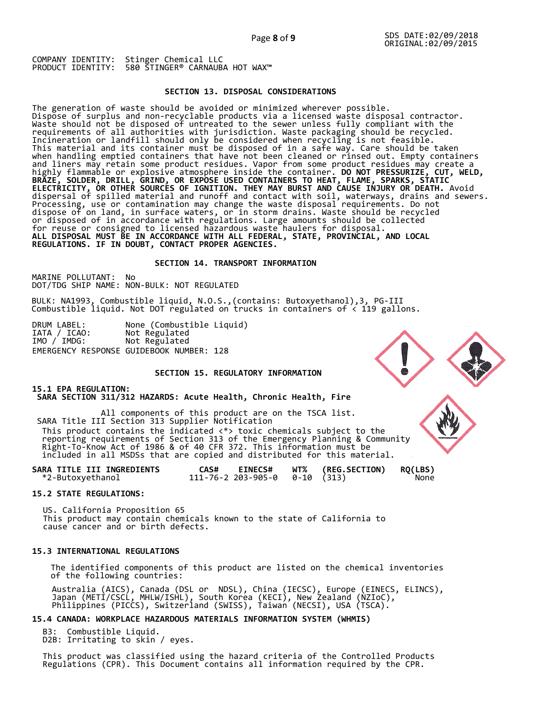## **SECTION 13. DISPOSAL CONSIDERATIONS**

The generation of waste should be avoided or minimized wherever possible. Dispose of surplus and non-recyclable products via a licensed waste disposal contractor. Waste should not be disposed of untreated to the sewer unless fully compliant with the requirements of all authorities with jurisdiction. Waste packaging should be recycled. Incineration or landfill should only be considered when recycling is not feasible. This material and its container must be disposed of in a safe way. Care should be taken when handling emptied containers that have not been cleaned or rinsed out. Empty containers and liners may retain some product residues. Vapor from some product residues may create a highly flammable or explosive atmosphere inside the container. **DO NOT PRESSURIZE, CUT, WELD, BRAZE, SOLDER, DRILL, GRIND, OR EXPOSE USED CONTAINERS TO HEAT, FLAME, SPARKS, STATIC ELECTRICITY, OR OTHER SOURCES OF IGNITION. THEY MAY BURST AND CAUSE INJURY OR DEATH.** Avoid dispersal of spilled material and runoff and contact with soil, waterways, drains and sewers. Processing, use or contamination may change the waste disposal requirements. Do not dispose of on land, in surface waters, or in storm drains. Waste should be recycled or disposed of in accordance with regulations. Large amounts should be collected for reuse or consigned to licensed hazardous waste haulers for disposal. **ALL DISPOSAL MUST BE IN ACCORDANCE WITH ALL FEDERAL, STATE, PROVINCIAL, AND LOCAL REGULATIONS. IF IN DOUBT, CONTACT PROPER AGENCIES.** 

## **SECTION 14. TRANSPORT INFORMATION**

MARINE POLLUTANT: No DOT/TDG SHIP NAME: NON-BULK: NOT REGULATED

BULK: NA1993, Combustible liquid, N.O.S.,(contains: Butoxyethanol),3, PG-III Combustible liquid. Not DOT regulated on trucks in containers of < 119 gallons.

DRUM LABEL: None (Combustible Liquid) IATA / ICAO: Not Regulated IATA / ICAO: Not Regulated<br>IMO / IMDG: Not Regulated EMERGENCY RESPONSE GUIDEBOOK NUMBER: 128

## **SECTION 15. REGULATORY INFORMATION**

## **15.1 EPA REGULATION: SARA SECTION 311/312 HAZARDS: Acute Health, Chronic Health, Fire**

All components of this product are on the TSCA list. SARA Title III Section 313 Supplier Notification This product contains the indicated  $\langle * \rangle$  toxic chemicals subject to the reporting requirements of Section 313 of the Emergency Planning & Community Right-To-Know Act of 1986 & of 40 CFR 372. This information must be included in all MSDSs that are copied and distributed for this material.

| SARA TITLE III INGREDIENTS | <b>EINECS#</b><br>CAS#                 | WT% (REG.SECTION) | <b>RQ(LBS)</b> |
|----------------------------|----------------------------------------|-------------------|----------------|
| *2-Butoxyethanol           | $111 - 76 - 2203 - 905 - 00 - 10(313)$ |                   | None           |

### **15.2 STATE REGULATIONS:**

US. California Proposition 65 This product may contain chemicals known to the state of California to cause cancer and or birth defects.

## **15.3 INTERNATIONAL REGULATIONS**

 The identified components of this product are listed on the chemical inventories of the following countries:

 Australia (AICS), Canada (DSL or NDSL), China (IECSC), Europe (EINECS, ELINCS), Japan (METI/CSCL, MHLW/ISHL), South Korea (KECI), New Zealand (NZIoC), Philippines (PICCS), Switzerland (SWISS), Taiwan (NECSI), USA (TSCA).

## **15.4 CANADA: WORKPLACE HAZARDOUS MATERIALS INFORMATION SYSTEM (WHMIS)**

 B3: Combustible Liquid. D2B: Irritating to skin / eyes.

 This product was classified using the hazard criteria of the Controlled Products Regulations (CPR). This Document contains all information required by the CPR.